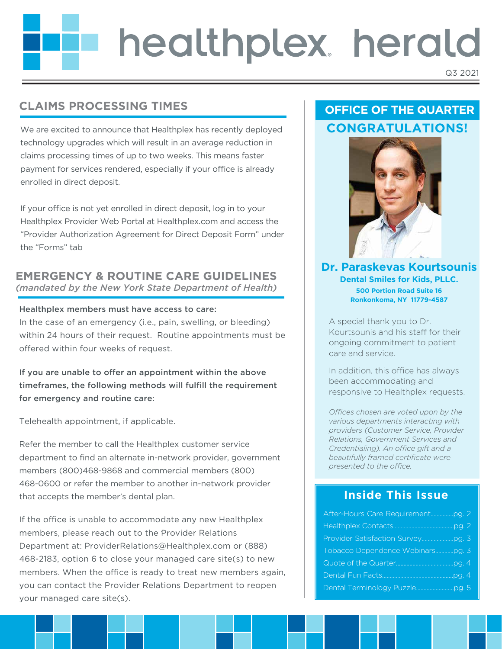# healthplex herald Q3 2021

## **CLAIMS PROCESSING TIMES**

We are excited to announce that Healthplex has recently deployed technology upgrades which will result in an average reduction in claims processing times of up to two weeks. This means faster payment for services rendered, especially if your office is already enrolled in direct deposit.

If your office is not yet enrolled in direct deposit, log in to your Healthplex Provider Web Portal at Healthplex.com and access the "Provider Authorization Agreement for Direct Deposit Form" under the "Forms" tab

### **EMERGENCY & ROUTINE CARE GUIDELINES**  *(mandated by the New York State Department of Health)*

#### Healthplex members must have access to care:

In the case of an emergency (i.e., pain, swelling, or bleeding) within 24 hours of their request. Routine appointments must be offered within four weeks of request.

If you are unable to offer an appointment within the above timeframes, the following methods will fulfill the requirement for emergency and routine care:

Telehealth appointment, if applicable.

Refer the member to call the Healthplex customer service department to find an alternate in-network provider, government members (800)468-9868 and commercial members (800) 468-0600 or refer the member to another in-network provider that accepts the member's dental plan.

If the office is unable to accommodate any new Healthplex members, please reach out to the Provider Relations Department at: ProviderRelations@Healthplex.com or (888) 468-2183, option 6 to close your managed care site(s) to new members. When the office is ready to treat new members again, you can contact the Provider Relations Department to reopen your managed care site(s).

## **OFFICE OF THE QUARTER CONGRATULATIONS!**



**Dr. Paraskevas Kourtsounis Dental Smiles for Kids, PLLC. 500 Portion Road Suite 16 Ronkonkoma, NY 11779-4587**

A special thank you to Dr. Kourtsounis and his staff for their ongoing commitment to patient care and service.

In addition, this office has always been accommodating and responsive to Healthplex requests.

*Offices chosen are voted upon by the various departments interacting with providers (Customer Service, Provider Relations, Government Services and Credentialing). An office gift and a beautifully framed certificate were presented to the office.* 

## **Inside This Issue**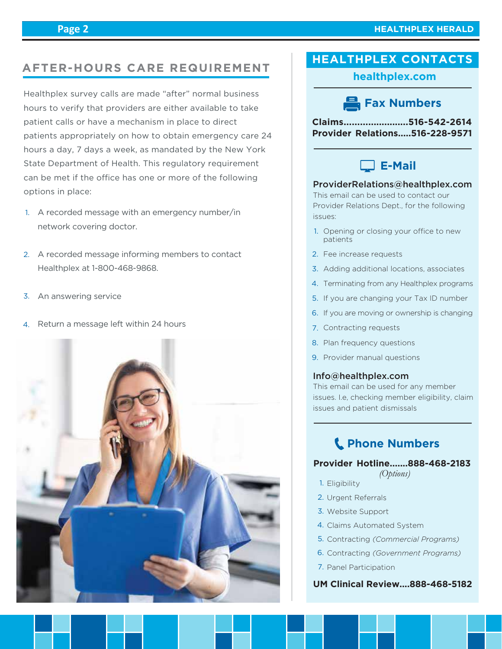## **HEALTHPLEX CONTACTS AFTER-HOURS CARE REQUIREMENT**

Healthplex survey calls are made "after" normal business hours to verify that providers are either available to take patient calls or have a mechanism in place to direct patients appropriately on how to obtain emergency care 24 hours a day, 7 days a week, as mandated by the New York State Department of Health. This regulatory requirement can be met if the office has one or more of the following options in place:

- A recorded message with an emergency number/in 1. network covering doctor.
- 2. A recorded message informing members to contact Healthplex at 1-800-468-9868.
- 3. An answering service
- 4. Return a message left within 24 hours



**healthplex.com**

## **Fax Numbers**

**Claims........................516-542-2614 Provider Relations.....516-228-9571**



#### ProviderRelations@healthplex.com

This email can be used to contact our Provider Relations Dept., for the following issues:

- 1. Opening or closing your office to new patients
- 2. Fee increase requests
- 3. Adding additional locations, associates
- 4. Terminating from any Healthplex programs
- 5. If you are changing your Tax ID number
- 6. If you are moving or ownership is changing
- 7. Contracting requests
- 8. Plan frequency questions
- 9. Provider manual questions

#### Info@healthplex.com

This email can be used for any member issues. I.e, checking member eligibility, claim issues and patient dismissals

## **Phone Numbers**

#### **Provider Hotline.......888-468-2183**

- *(Options)*
- 1. Eligibility
- 2. Urgent Referrals
- Website Support 3.
- 4. Claims Automated System
- 5. Contracting (Commercial Programs)
- 6. Contracting (Government Programs)
- 7. Panel Participation

#### **UM Clinical Review....888-468-5182**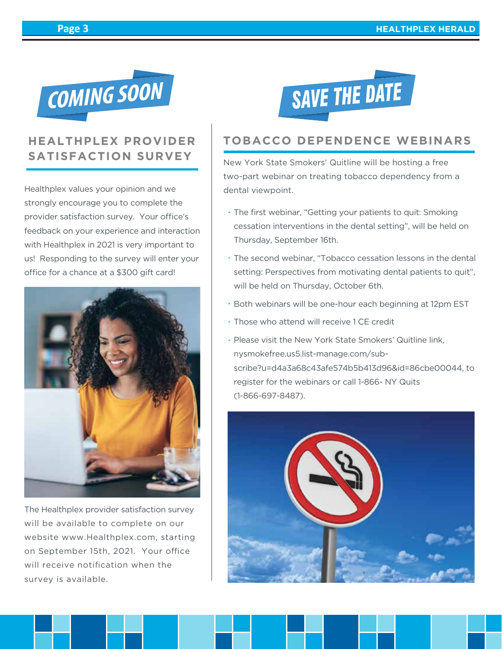

## **HEALTHPLEX PROVIDER SATISFACTION SURVEY**

Healthplex values your opinion and we strongly encourage you to complete the provider satisfaction survey. Your office's feedback on your experience and interaction with Healthplex in 2021 is very important to us! Responding to the survey will enter your office for a chance at a \$300 gift card!



The Healthplex provider satisfaction survey will be available to complete on our website www.Healthplex.com, starting on September 15th, 2021. Your office will receive notification when the survey is available.



## **TOBACCO DEPENDENCE WEBINARS**

New York State Smokers' Quitline will be hosting a free two-part webinar on treating tobacco dependency from a dental viewpoint.

- The first webinar, "Getting your patients to quit: Smoking cessation interventions in the dental setting", will be held on Thursday, September 16th.
- The second webinar, "Tobacco cessation lessons in the dental setting: Perspectives from motivating dental patients to quit", will be held on Thursday, October 6th.
- Both webinars will be one-hour each beginning at 12pm EST
- Those who attend will receive 1 CE credit
- Please visit the New York State Smokers' Quitline link, nysmokefree.us5.list-manage.com/subscribe?u=d4a3a68c43afe574b5b413d96&id=86cbe00044, to register for the webinars or call 1-866- NY Quits (1-866-697-8487).

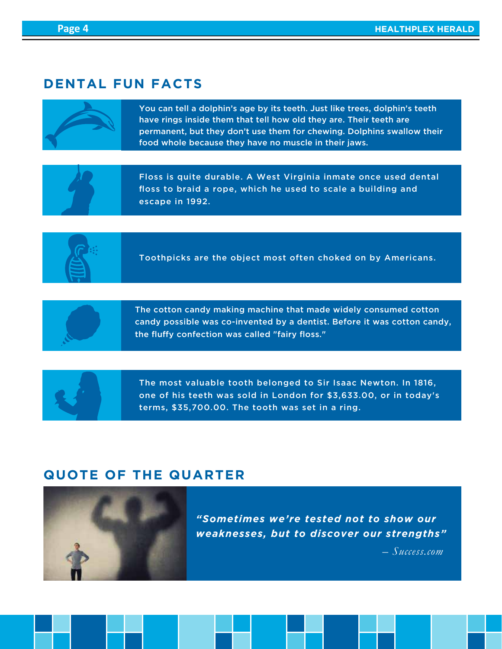## **DENTAL FUN FACTS**



You can tell a dolphin's age by its teeth. Just like trees, dolphin's teeth have rings inside them that tell how old they are. Their teeth are permanent, but they don't use them for chewing. Dolphins swallow their food whole because they have no muscle in their jaws.



Floss is quite durable. A West Virginia inmate once used dental floss to braid a rope, which he used to scale a building and escape in 1992.



Toothpicks are the object most often choked on by Americans.



The cotton candy making machine that made widely consumed cotton candy possible was co-invented by a dentist. Before it was cotton candy, the fluffy confection was called "fairy floss."



The most valuable tooth belonged to Sir Isaac Newton. In 1816, one of his teeth was sold in London for \$3,633.00, or in today's terms, \$35,700.00. The tooth was set in a ring.

## **QUOTE OF THE QUARTER**



*"Sometimes we're tested not to show our weaknesses, but to discover our strengths"*

 *– Success.com*